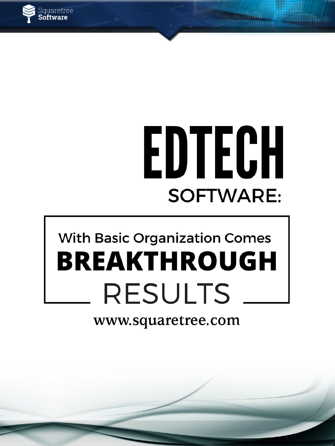

# EDTECH **SOFTWARE:**

## **With Basic Organization Comes BREAKTHROUGH RESULTS**

### www.squaretree.com